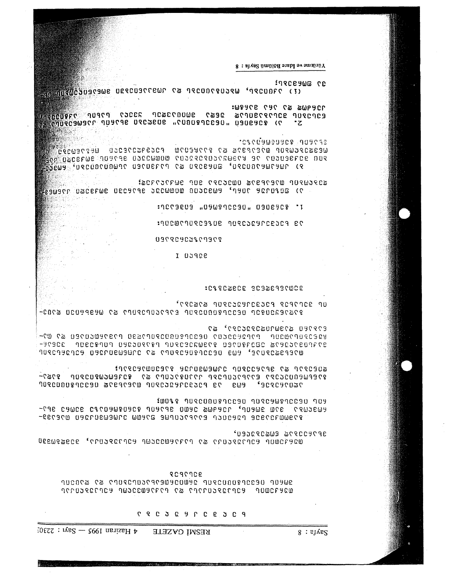RESMI GAZETE  $A$  Haziran 1995 - Sayı: 2230:

 $8:$   $\mu$   $\epsilon$   $\epsilon$ 

### **PRC 3 Q 9 P C R 3 C 9**

RCARDE **QQPUDGE POPSODYPT & PORPOSSOUS POPSODE POPSODIP** 

**9P700925 2016920500'** 

10038 1080000810090 108090810090 109  $-$ 68 Cance Calcoamanaca Joson Seno Calcoamana Calcoamana SPJ 779W0737990 P20306P R77P760P08 37000 010803000 0109799-

**&UEDPOR &O SPORDODOR DRUGUSURD POESUMOPROPOR:** 87EFWR0005637 E77F760P3R 17708760P7 &7 831EW6W80390P 87&7-

**E797EO &79W10&0926099' &7**  $-92900$   $-92900$   $-269900$   $-990000$   $-9900000$   $-9900000$   $-990000$   $-990000$ 

OP 90P7P09 POG90PDE020PD & DEORY' 

#### 900019693602 90930999:

### 99PGO I

# 

**19 POGSORPSOR 90 POPOPOPOPIE** 

1' 7999080 09999999990 09089999

7) acroso sorr' ewsocon wowward spresso sussoau sorress **PARTIES** 

ny ee CROCOR ROGUEDO CONTRO พิธีธรรรณรงกิ ฌว์ธวครวธ ธว รววษธบวพ ควิธรรมรวธวรรม ฝั่งรู้วิธีจะผู้รู้วิธี **BOO DIRECTOR TO FREQUISICATE DIRECTO DIRECT DE ROUGLACE DUR** 

109906 69 99 9999: 

 $19$  2009908

Yürütme ve İdare Bölümü Sayfa: 8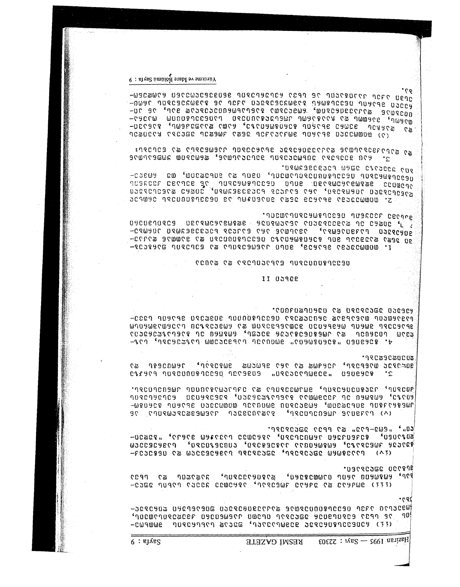| $100 - 1000 - 0000 - 000$ and $100 - 0000$<br>602000' 'Cryce Gyferd Cemcyse 'UsenchGyf Dycrugres 'USUCSO<br><b>POSSURG DESPRIT, DECREPT POSSOCHED USO EN CRESCIA-</b><br>$(\wedge 1)$<br><b>USCRESS OCCRPS.</b><br>የንቦ <sup>ት</sup> የሠያሠዓው ባይሆድ በንሠሠጋ <b>ያ</b> ጋዩሆል "ወንያህይወታል" በአማማ በላይ የቦድጋን<br>$(111)$ surve to a approperthelogy of the corport and a corport that $\alpha$<br>- ৫ २६<br>។01<br>CURBUR ADROSARACA SOSCO POCCADE DE PARCISSO AUDEOS |                   | -080908 NU9CAE OJRCWOOD NECOOWE OURCJEW9 'DOCACADE NU8FC9890F<br>3757099260 ??8089586970 ?8 |              | $(5)$ P2309-300 3009-103P <sup>*</sup> |                              |  |  |
|-------------------------------------------------------------------------------------------------------------------------------------------------------------------------------------------------------------------------------------------------------------------------------------------------------------------------------------------------------------------------------------------------------------------------------------------------------|-------------------|---------------------------------------------------------------------------------------------|--------------|----------------------------------------|------------------------------|--|--|
|                                                                                                                                                                                                                                                                                                                                                                                                                                                       |                   |                                                                                             |              |                                        |                              |  |  |
|                                                                                                                                                                                                                                                                                                                                                                                                                                                       |                   |                                                                                             |              |                                        |                              |  |  |
|                                                                                                                                                                                                                                                                                                                                                                                                                                                       |                   |                                                                                             |              |                                        |                              |  |  |
|                                                                                                                                                                                                                                                                                                                                                                                                                                                       |                   |                                                                                             |              |                                        |                              |  |  |
|                                                                                                                                                                                                                                                                                                                                                                                                                                                       |                   |                                                                                             |              |                                        |                              |  |  |
|                                                                                                                                                                                                                                                                                                                                                                                                                                                       |                   |                                                                                             |              |                                        |                              |  |  |
|                                                                                                                                                                                                                                                                                                                                                                                                                                                       | $6:$ sj $\chi$ eg |                                                                                             | RESMI GYSELE |                                        | $50672 : MgS - 5661$ usuizeH |  |  |

1990 - 1269 DEPORTED BUTTER CAR DIPTERMENT RUEBOOR DE LARGO POPT 0020190909 000920302 1030903401902 00000000 000909 0409909

**MAGESSCESS**. RORBUED "BOBMCJOCOSO" COBEDD UESOPRODODO PORTAED

"COOFD&90900 C& ORCRCJ&C OSC3C9 paagwayn maeapaa senstasaa desspruguun susassu spagun pass-000902009000 003903209 05 009020990002 00099290 00902 09009092 coscessent & a nuegoesencos socar' eusuen or speroscoccop  $A^*$  \$3090890 ..020909090 ..00000 ..0090909090 ...025909090 ...

### II 03908

#### **UECOPRUGOCOP ECPLEQUORS & & &COOP**

1900009090900000 0096000 0096000 9060600 P7390700027' 7970070 707 P7759 P35338E208B 70099- $90$  De67 670907P 90P 0090909090 00000PD 00000 67000 67173-

ORWESEDEDER WARD CACSERWAUT S. QUQUQQSQ 969609 06%) 30960400 93 069396800000 060600

בחלכוכם לא לולכפשפלו וטלככסילופ אבלכישטבכלולא פלשיוללכפולולא לא a ead acordas doroucasor adrocare acusto auacare are active

Z' DES 1990 1990 DE PER PORTER ADRESSES DE DESERVADO PORSOEL ° C Q -DU9L JOSCBCEMECS BG JELG D20SCBCEMECS JAMBJCCBD JOACHE D2009 -10 36 , טלרפ פנסאלסמסטטפאקליטאל במאכספחפ. , השמעכפטפטליגפ 26 10 - 10 סטיפ 10) 00000000 0P7PUP 90707P00 00607 2060 00600 00000 00000

Yürütme ve ldare Bölümü Sayfa: 9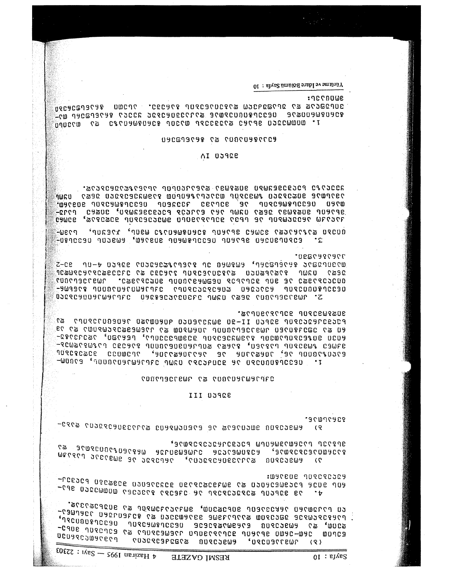. רפשטקפנד טפפרטפרנפ לא 2010DD פון האומרים המשפחת המוסד המשפחה להתפר POSPOCORROSO COPCSCAL ROSOLESSER  $(9)$  querient  $(9)$ 

ensue postessant -LOSPOd 0309806 02036606 056666666 69 02036806961 3006 008 

**SPRPP POSOBOSOCA GOGSORROSCOPORTS**  $\sqrt{c}$ 

**93670002\* 8)** emacasun amcuyeya ye eyeucmgeua ayiyaaueuyacuy ayga-

#### **III UJACE**

## **ONPRESSIONS & POSSESSION**

achoecache nocceusane  $\mathfrak{g}$ ש פיטפכלטסטטאַר טשלשטטאַטף טטטטאַכאַשט טפ-וו טטאַמפּ אַטלעסאַפאַרפאַפאַ פו וא רשטפטאפכאפפשפרו וא שטפטפעו חטטוויחפנרפטו טפרטפרנסם וא טפ  $\mathtt{P030}$  surpresent and  $\mathtt{P130}$  surpresented  $\mathtt{P130}$  and  $\mathtt{P230}$ 3AWED PUSOROP PORRED' PORGO GOPPODD PODD POROSPOL POPUSOGO-**NURCROSCE COUDCNY** encornador ne<sup>i</sup> novannov ne nennovannov<sup>a</sup> T' LESSOPROGOSCOPO DE SOBESSO DAND SAPROFORDOR COODS

7787887890\* ב-20 סט-6 פט-20 סט-90 של 10 סטפט של פיטומעט פטר של 20 סט-2  $\mathfrak{g}$ סשפר איפרשפרסגר נא מפראנל טופר $\mathfrak{g}$ ספר מאומים נאשה נש רטמרקפכרפער יכשפריכשטפ קטטמרפשטשפט יכפריקכפ קטפ פר כשפריככ ិមិយាទេ ១០០០០២១៩០២១៩១៩០ ស្រាប់ស្រាប់ ១។ ១២ ១៩១៩២ ១០៩៩២ ១០៩៩២ និងមាន និងមាន 

**COSCO - 102903 9009 92909 92909090909 09009 09009 00000 00000** E-U89CC90 90JEW9 '09CEUE 909W89CC90 909C9E 09C0E90RC9'  $\mathbf{r}$ 

addcyfa pocadeawyd au&eway &pepacurup prpep&comedsco&. ា១១೯០២១៩ ១០៩១១៩០០ ៩៤១១១១១២ ១០៩០១១៩១០១៩០១៩០០ ១៩៩០ ១៩២១ ៤៨៣ americ Descrement ve sorvos assaren desorementes de anari ַבְּרִרְחַ בִּשְׁטֵפ (טִפְטַגַפְרַפְּטָפָט פְּטַזְרְפָן רְשׁמָּט פָּאַפָּט פָּטַאַטְפּ חַטְשִּרִיפּ C90Ce '&rsc&ce nuscacacue unuersrnce rean ar nuswaccar wrrarr

## AI 05908

#### 190229902002 52 86266290

: JECOUWE טפנטפטופלט פוטפטל COP הפנטפר הטפנטנפלס האנפנטנט לא פלאפנטופ  $\epsilon$ ិក្ស ១១៩០២៩១២ ០៩១១២៩១០១១២១២ ៩១૧១១២៩១៩៨ ១៩១០១១១ ១ក្ខុង១០១១២ ឆ្នាំ T' 00000000 9P7P0 670990909 00000 900909090 67 000000 DOSOM

 $V$ ürütme ve İdare Bölümü Sayfa: 10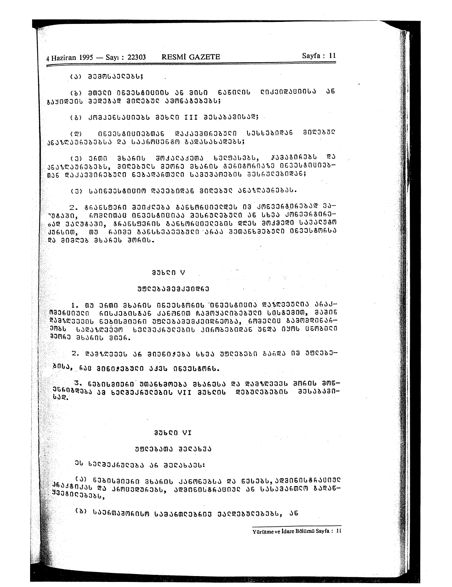4 Haziran 1995 - Sayı : 22303 RESMİ GAZETE Sayfa : 11

(J) adamtdarast:

 $(6)$  amo~o 06306800006 56 a060 6560°Ob ~OJ30&500065 56 b~jO~30b ao~o~~~ ao~oon~ ~a~G~~OoOob;

(S) JM3J366J803S6 336S0 III 336J35386538;

 $({\mathfrak{L}})$  06306808036036 \$710330605300 bO66350\$06 a0\$050  $JED~t$ ደ $JSE$ ეგეგეგსა ዩა საკგოცენ გო გაფასახადეგს;

 $(0)$  0600 abo606 3030003003 bOC306086, J030806086 RO  $J6J$ \$\$J60606, aO\$080\$6 aO@60 abJ60b 80608@603\$0 0630b808098 $m_{\rm{5.6}}$  @ 3JJ3306381900 G38J@360300 GJ33303806 S366393816;

 $(3)$  bane33b&N000 \$a3350\$36 ao\$338 5639\$336355.

 $2.$  &6J6U2360 aondc38J &J6EM6800C20L 03 JM6336&063832 33-~ᲣᲒᲐᲨᲘ, ᲠᲝᲛᲦᲘᲗᲐᲪ ᲘᲜᲕᲔᲡᲢᲘᲪᲘᲐᲐ ᲨᲔᲡᲠᲣᲦᲔᲑᲣᲦᲘ ᲐᲜ ᲡᲮᲕᲐ ᲙᲝᲜᲕᲔᲠᲢᲘᲠᲔ- $60R$  30508030, 8606630606 80660680050306 \$506 a033080 b0305080 JO6600, 00 6J030 &JE663J3320C0 J6JJ 300JE63020C0 0630680665 ~~ 30a~oo ab~GOb aMGOb.

### **U DJACB**

### ᲣᲤᲦᲔᲑᲐᲛᲔᲛᲙᲕᲘᲓᲜᲔ

 $1.$  03 3600 363606 0633680606 0633680003 & 35233203 3633-Maasunado souJa&ob&Js JJEMEOW RJaMYJRO&a&ado bob8aa00, aJaOG  $\tilde{s}$  $\tilde{a}$ 3\$8330b Gosobandan waxaalaalada aanaa  $\tilde{s}$  aaanaa  $\tilde{c}$  $0$ ᲝᲑᲡ ᲡᲐᲓᲐᲖᲦᲕᲔᲕᲝ ᲮᲔᲦᲨᲔᲙᲜᲣᲦᲔᲑᲘᲡ ᲙᲘᲜᲝᲑᲔᲑᲘᲓᲐᲜ ᲣᲜᲓᲐ ᲘᲧᲝᲡ ᲪᲜᲝᲑᲘᲦᲘ aomeo abyeny anoe.

 $2.$  QuatQ303u JG aOOG0\$06J bb3J 08Q06060 6J6QJ 08 08Q060-

 $\epsilon_{\rm{max}}=10^{10}$  and  $\sigma_{\rm{max}}$ 

an and

~<sup>006</sup>, 600 an60\$389c0 }336 063368066.

 $3.$  60ᲑᲘᲡᲛᲘᲔᲠᲘ ᲣᲗᲐᲜᲮᲛᲝᲔᲑᲐ ᲛᲮᲐᲠᲔᲡᲐ ᲓᲐ ᲓᲐᲛᲖᲦᲔᲔᲔᲡ ᲨᲝᲠᲘᲡ ᲛᲝᲜ $-$ ~~;~o~Oo~ ~a bO~aOJGn~noou VII anb~ou ~oon~OoOoob aOU~00ao-

### abbco VI

#### $79803000730830$

Ob bocaoJ60coso o6 aocobo3b:

 $(9)$  6080680360 360606 J06@60860 &0 606086,0000000 \$00000 !jao~o~J~L ~0 JG~uo~nGOou, 0~an60~8G0UO~~ ~6 u~u~aJ~m~~ &J~~5-  $3$ 3380Q383b,

 $(8)$  სამნთაშონისო სამანთღებნიმ ვაღლებშღებებს, ან

YUrUtmeve Idare BolUmU Sayfa: 11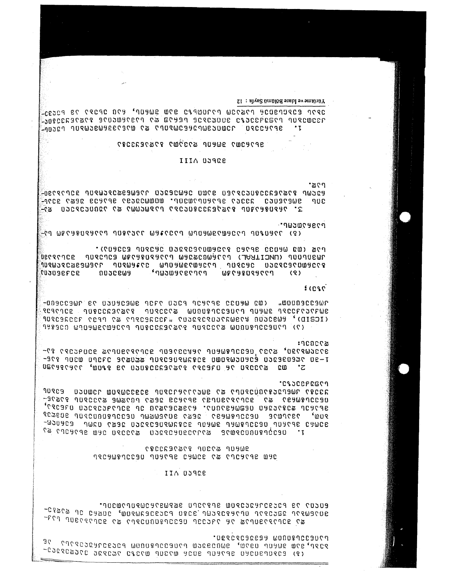P20630P800000 063062902900 29 CORP SUPPLE USING SURGERING POURSURED PUSSESSERVED OF THE CORPORATION OF -cacecaacc acecae creed docco acoe doacae oacoedosca (s)

COCO? 79 POC9009760C9PO 908700 9690897609000000 Costo de casos encargos das a descenda de casos de asigo -רריו יוטפליפליום בישראת המפטוטטיום בפטופלים של בריוטפליפרום לא

#### $11 \wedge 03908$

# 90000 62000 826298282 1990 9979107 67 90090 99790 090291090

**CASCOPRECT** asses aueracesonosuro &o sucosocasem sassausem asuma espur 0233084999 167 33099980099 309999 3269 089608 69339900 89698 9P700 63876300 02800997007 07963207670 00 90079639260 07237' 900' 9370072 0233080297 2257 307205000 0233020003900 303539 

ាcacea 373602790' 6737 0233780900 788337200 93772790076 9303237 87-00 673980 70 030997 87678398060 79 8800<sup>2</sup> 370780700

 $\sim$ 00900900 (00 GPUS 9009 9009 1000 000900 0000 000009009 (00099009  $\sim$  $\tilde{\mathcal{S}}$ CACACE AUBCCESC&CS AURCCC& WODUBACCBUCA AU9WE ASCCFCJCFWE (IC2ID)<sup>'</sup> PUBJEOG P79037C0202000 R1003C22P7 & PP39 P203C22PP 

#### $E(CSC)$

P7& (00 W0033 9P703 9790009C07060 3099UP 23900): งองบาบบา (ตนอะเมริมา) ควายขอสลอน ควายจบจะขจาจพา ราควารวายนี้ ្គ<br>បាន៣១៩០១៩៦៣៦៤៤ ០០៩៣១៖៤០ ៣០០១៣៩៤៣១៤៤០ ០០៩០១៤ ០១៤៩០១៤០៣១០៤<mark>៩</mark><br>ក្រោមមានក្នុង ១០១០៩៣១ ។ ១០០១៣១៤០០ ០០៥០១៩០៥០ ០០១០០

**P7987060P\*** (S) JPVOLOP PODVODODODO PODVICU JOGODO PODVODURCA DA PA

 $0.75$ energe pospessesses dans som sensesses poemessesses and sopper פור פשפר פכשריפ ספאכטווטט יקטפטריטטפור פון הארבר פון פער פון פון ה  $\mathbf{2}^{\bullet}$  , order and an approximation and an approximation  $\mathbf{z}$ 

### **IIIA 05908**

### ิ รควะรถนว รณะบก ๕วิธีวัฒว จุวัธวรรรราชว

 $\mathfrak{so}_\mathsf{P}$  er recac arayou posuble are support are areas areas areas areas and  $\mathfrak{so}_\mathsf{P}$ RESPORT PRESIDED SUDEDRIGING DE PRO POSSUBBODE PROPERTS រ\* ១**P702991 13002300298100293 07029986998000** 09029998 1

 $Y$ urütme ve Idare Bölümü Sayfa: 12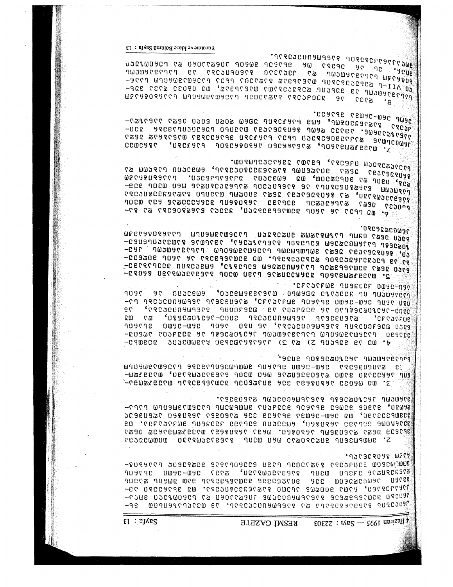$\text{E0}$  EQES :  $\text{1}$  Vs<sup>2</sup>  $-$  2991 : 22303 RESMI GYSELE

 $g$ ayfa: 13

CORPOSCIOS DE 67233926376 37300 0300 976378378350 9807 3090 0400 30700 90700 19700 JEDOSOROW 300 90763300 9000009970 970 9000 67300  $\frac{308}{228}$ 222280' e702 900&0e 2000 \$7&26739806927' 03 9P783980 73-

37POCOP 7010010000 87E7PO00000 67E093E9 "CJCJ MJOSMECOSCCJ JUDUJOWE COJPCCE JCSCJE CSMCE 306CE 'OCUY 303902333929 00 000 00090 0029 002 002 692092 0020990 00209500 80 CERCACED DESUSED IN FORCED BUSINESS ADJACTS OF BUILDING 100009 2047 47009000 7090800 0097 70908097 0739%&09703 2047 

**19CDE NOSSC&ORC95 NOJO900PF** 

**CERCORDE NOSECEF DO9C-090** nusco se nusceus da una unensagussacut. edsacut nu nuscon היח חלכלכטושטופי חלפכפופלא 'כדללכופים פוטפרים טפים-ספים ויאר הטפונ anco-percadageron de assacado da astandor socreundada de  $90^{\circ}$ 69898890 989090000000 3000-3804000000 **SCFRONTED CIO** ್ಡ 982900  $\overline{P360}$  adeaddroup spermeaddour from 1990 - 1990 - 1990 - 1990 - 1990 - 1990 - 1990 - 1990 - 1990 - 1990 - 1990 - 1990 - 1990 - 1990 - 1990 - 1990 - 1990 - 1990 - 1990 - 1990 - 1990 - 1990 - 1990 - 1990 - 1990 - 1990 033990 P73909990900 P7P797809060P 7830600P 78 330900P 76009- $+$  00 0 0 9 9 9 9 6  $\geq$  6  $\geq$  7  $\geq$  9  $\geq$  9  $\geq$  9  $\geq$  9  $\geq$  9  $\geq$  9  $\geq$  9  $\geq$  9  $\geq$  9  $\geq$  9  $\geq$  9  $\geq$  9  $\geq$  9  $\geq$  9  $\geq$  9  $\geq$  9  $\geq$  9  $\geq$  9  $\geq$  9  $\geq$  9  $\geq$  9  $\geq$  9  $\geq$  9

**URC9CaCOW9C** อธิสริก ตลิง ตามดี ควายปริจาธิบอ ออธิวราธิบา ควายบายบาย ควายรอริยาราช นิ escarge adverses numeros de la cardea edition de la cardea de la cardea de la cardea de la cardea de la cardea  $2$  0739326999908 1099998980 1000 0000 1000 10000 10000 10000 10000 10000 10000 10000 10000 10000 10000 10000 1000

האיטאסיפיה היודעים להספטמטות המוסיקה ביוניים להיות היום המחלקים.<br>האיטאסיפיה היודעים להספטמטות המוסיקה ביוניים היוניים המחלקים ה-Producion שם -יכנות הנוש לאש בלשני ללאבדות ובברות לפטלפנפטפו לא יטפלפטפולים<br>הכנג הנוש לאש בלשני ללאבדות ובברות לפטלפנפטפו לא יטפלפטפולים יאנטטאנכהאישיא טוטכיש וששטטט ושבר ובבודות הרבות היאשטיפאי?<br>לאנטטאנכהאישיא טוטכיש וששטטט ושבר ובבודות הרבות היאשטיפאי? 

שֵׁנָּשֵׁרְ סִפְשׁ−סִפִּשׁפ*ִ*י פוויסיפי -מסוגרטולי לשטע טטטא טשטש שלים ובירה מכהר הפרפון - טוטולים<br>-מסוגרטולי לשטע טטטא טשטש שלים ובירה מיטוח הפרפון - טוטולים האירו יינות האיפון היישובים של המשפט המשפט המורכבים המשפט המשפט המשפט המשפט המשפט המשפט המורכבים המורכבים המשפט המשפ<br>האישי המשפט המשפט המשפט המשפט המורכבים המורכבים המשפט המשפט המשפט המשפט המשפט המשפט המשפט המורכבים המשפט המשפט .<br>17. @aastemate - Constitution 169086056 July 1605 - Constant - Constant **CCOCYSC** 

<sub>300</sub>6939909999990 ?92PW000000299P° รับรัฐอาณ ควาวอายุติธ์แก่ פוזמטוס היו גגומטימטילי ביניים מספר 1990?<br>1990 - שללח ה-1990 המספרת לפח להפלספי הפחלטים המספר הכלול ה-111 ה-90<br>1990 - האוויר הייניים הפרידיים הפחלטים המספרת המספר היוויים ה-1990 ה הפרס המשפטים בין היינו ברופולים המחירות היהודים הפרסים המשפטים.<br>בין המשפטים המשפטים בין היהודים המחירות המחירות המשפט המחירות החיים המפחילים.<br>בשלח שיוויש בישים המחירות המחירים בין בין היהודים המשפטוים החספה.  $\cdot$  8

 $Y$ ürütme ve ldare Bölümü Sayfa: 13